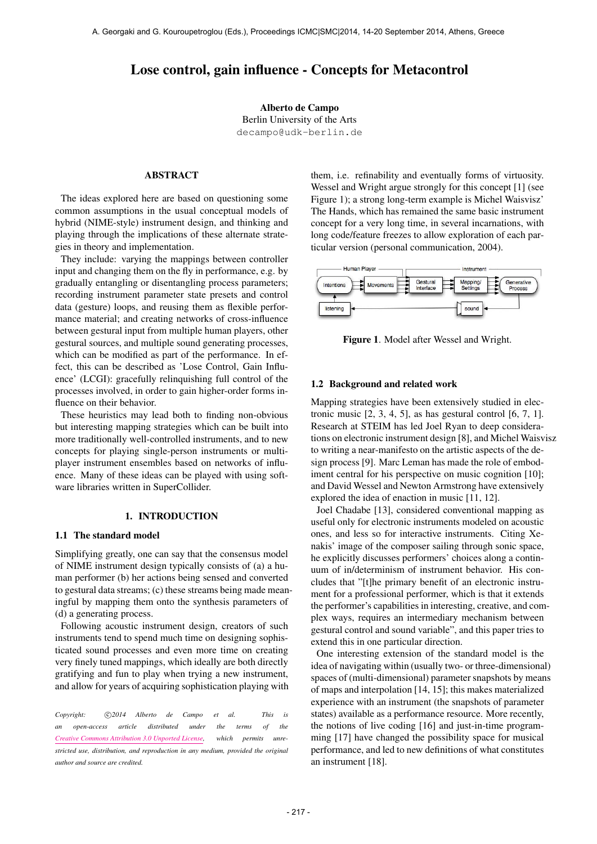# Lose control, gain influence - Concepts for Metacontrol

Alberto de Campo Berlin University of the Arts [decampo@udk-berlin.de](mailto:decampo@udk-berlin.de)

## ABSTRACT

The ideas explored here are based on questioning some common assumptions in the usual conceptual models of hybrid (NIME-style) instrument design, and thinking and playing through the implications of these alternate strategies in theory and implementation.

They include: varying the mappings between controller input and changing them on the fly in performance, e.g. by gradually entangling or disentangling process parameters; recording instrument parameter state presets and control data (gesture) loops, and reusing them as flexible performance material; and creating networks of cross-influence between gestural input from multiple human players, other gestural sources, and multiple sound generating processes, which can be modified as part of the performance. In effect, this can be described as 'Lose Control, Gain Influence' (LCGI): gracefully relinquishing full control of the processes involved, in order to gain higher-order forms influence on their behavior.

These heuristics may lead both to finding non-obvious but interesting mapping strategies which can be built into more traditionally well-controlled instruments, and to new concepts for playing single-person instruments or multiplayer instrument ensembles based on networks of influence. Many of these ideas can be played with using software libraries written in SuperCollider.

### 1. INTRODUCTION

### 1.1 The standard model

Simplifying greatly, one can say that the consensus model of NIME instrument design typically consists of (a) a human performer (b) her actions being sensed and converted to gestural data streams; (c) these streams being made meaningful by mapping them onto the synthesis parameters of (d) a generating process.

Following acoustic instrument design, creators of such instruments tend to spend much time on designing sophisticated sound processes and even more time on creating very finely tuned mappings, which ideally are both directly gratifying and fun to play when trying a new instrument, and allow for years of acquiring sophistication playing with

Copyright:  $\bigcirc$  2014 Alberto de Campo et al. This is *an open-access article distributed under the terms of the [Creative Commons Attribution 3.0 Unported License,](http://creativecommons.org/licenses/by/3.0/) which permits unrestricted use, distribution, and reproduction in any medium, provided the original author and source are credited.*

them, i.e. refinability and eventually forms of virtuosity. Wessel and Wright argue strongly for this concept [1] (see Figure 1); a strong long-term example is Michel Waisvisz' The Hands, which has remained the same basic instrument concept for a very long time, in several incarnations, with long code/feature freezes to allow exploration of each particular version (personal communication, 2004).



Figure 1. Model after Wessel and Wright.

#### 1.2 Background and related work

Mapping strategies have been extensively studied in electronic music  $[2, 3, 4, 5]$ , as has gestural control  $[6, 7, 1]$ . Research at STEIM has led Joel Ryan to deep considerations on electronic instrument design [8], and Michel Waisvisz to writing a near-manifesto on the artistic aspects of the design process [9]. Marc Leman has made the role of embodiment central for his perspective on music cognition [10]; and David Wessel and Newton Armstrong have extensively explored the idea of enaction in music [11, 12].

Joel Chadabe [13], considered conventional mapping as useful only for electronic instruments modeled on acoustic ones, and less so for interactive instruments. Citing Xenakis' image of the composer sailing through sonic space, he explicitly discusses performers' choices along a continuum of in/determinism of instrument behavior. His concludes that "[t]he primary benefit of an electronic instrument for a professional performer, which is that it extends the performer's capabilities in interesting, creative, and complex ways, requires an intermediary mechanism between gestural control and sound variable", and this paper tries to extend this in one particular direction.

One interesting extension of the standard model is the idea of navigating within (usually two- or three-dimensional) spaces of (multi-dimensional) parameter snapshots by means of maps and interpolation [14, 15]; this makes materialized experience with an instrument (the snapshots of parameter states) available as a performance resource. More recently, the notions of live coding [16] and just-in-time programming [17] have changed the possibility space for musical performance, and led to new definitions of what constitutes an instrument [18].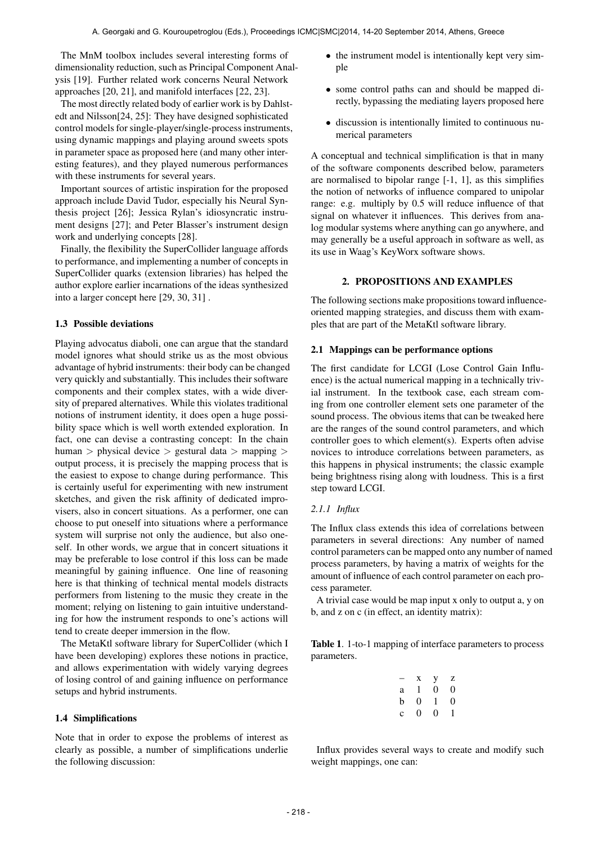The MnM toolbox includes several interesting forms of dimensionality reduction, such as Principal Component Analysis [19]. Further related work concerns Neural Network approaches [20, 21], and manifold interfaces [22, 23].

The most directly related body of earlier work is by Dahlstedt and Nilsson[24, 25]: They have designed sophisticated control models for single-player/single-process instruments, using dynamic mappings and playing around sweets spots in parameter space as proposed here (and many other interesting features), and they played numerous performances with these instruments for several years.

Important sources of artistic inspiration for the proposed approach include David Tudor, especially his Neural Synthesis project [26]; Jessica Rylan's idiosyncratic instrument designs [27]; and Peter Blasser's instrument design work and underlying concepts [28].

Finally, the flexibility the SuperCollider language affords to performance, and implementing a number of concepts in SuperCollider quarks (extension libraries) has helped the author explore earlier incarnations of the ideas synthesized into a larger concept here [29, 30, 31] .

### 1.3 Possible deviations

Playing advocatus diaboli, one can argue that the standard model ignores what should strike us as the most obvious advantage of hybrid instruments: their body can be changed very quickly and substantially. This includes their software components and their complex states, with a wide diversity of prepared alternatives. While this violates traditional notions of instrument identity, it does open a huge possibility space which is well worth extended exploration. In fact, one can devise a contrasting concept: In the chain human > physical device > gestural data > mapping > output process, it is precisely the mapping process that is the easiest to expose to change during performance. This is certainly useful for experimenting with new instrument sketches, and given the risk affinity of dedicated improvisers, also in concert situations. As a performer, one can choose to put oneself into situations where a performance system will surprise not only the audience, but also oneself. In other words, we argue that in concert situations it may be preferable to lose control if this loss can be made meaningful by gaining influence. One line of reasoning here is that thinking of technical mental models distracts performers from listening to the music they create in the moment; relying on listening to gain intuitive understanding for how the instrument responds to one's actions will tend to create deeper immersion in the flow.

The MetaKtl software library for SuperCollider (which I have been developing) explores these notions in practice, and allows experimentation with widely varying degrees of losing control of and gaining influence on performance setups and hybrid instruments.

## 1.4 Simplifications

Note that in order to expose the problems of interest as clearly as possible, a number of simplifications underlie the following discussion:

- the instrument model is intentionally kept very simple
- some control paths can and should be mapped directly, bypassing the mediating layers proposed here
- discussion is intentionally limited to continuous numerical parameters

A conceptual and technical simplification is that in many of the software components described below, parameters are normalised to bipolar range [-1, 1], as this simplifies the notion of networks of influence compared to unipolar range: e.g. multiply by 0.5 will reduce influence of that signal on whatever it influences. This derives from analog modular systems where anything can go anywhere, and may generally be a useful approach in software as well, as its use in Waag's KeyWorx software shows.

### 2. PROPOSITIONS AND EXAMPLES

The following sections make propositions toward influenceoriented mapping strategies, and discuss them with examples that are part of the MetaKtl software library.

#### 2.1 Mappings can be performance options

The first candidate for LCGI (Lose Control Gain Influence) is the actual numerical mapping in a technically trivial instrument. In the textbook case, each stream coming from one controller element sets one parameter of the sound process. The obvious items that can be tweaked here are the ranges of the sound control parameters, and which controller goes to which element(s). Experts often advise novices to introduce correlations between parameters, as this happens in physical instruments; the classic example being brightness rising along with loudness. This is a first step toward LCGI.

## *2.1.1 Influx*

The Influx class extends this idea of correlations between parameters in several directions: Any number of named control parameters can be mapped onto any number of named process parameters, by having a matrix of weights for the amount of influence of each control parameter on each process parameter.

A trivial case would be map input x only to output a, y on b, and z on c (in effect, an identity matrix):

Table 1. 1-to-1 mapping of interface parameters to process parameters.

| - | X        | у | Z |
|---|----------|---|---|
| a | 1        | 0 | 0 |
| b | $\theta$ | 1 | 0 |
| c | 0        | 0 | 1 |

Influx provides several ways to create and modify such weight mappings, one can: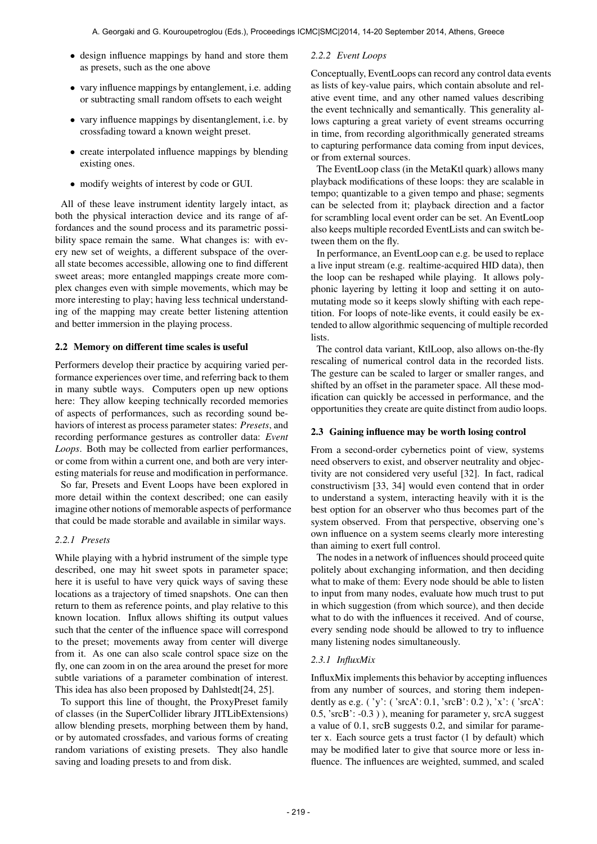- design influence mappings by hand and store them as presets, such as the one above
- vary influence mappings by entanglement, i.e. adding or subtracting small random offsets to each weight
- vary influence mappings by disentanglement, i.e. by crossfading toward a known weight preset.
- create interpolated influence mappings by blending existing ones.
- modify weights of interest by code or GUI.

All of these leave instrument identity largely intact, as both the physical interaction device and its range of affordances and the sound process and its parametric possibility space remain the same. What changes is: with every new set of weights, a different subspace of the overall state becomes accessible, allowing one to find different sweet areas; more entangled mappings create more complex changes even with simple movements, which may be more interesting to play; having less technical understanding of the mapping may create better listening attention and better immersion in the playing process.

## 2.2 Memory on different time scales is useful

Performers develop their practice by acquiring varied performance experiences over time, and referring back to them in many subtle ways. Computers open up new options here: They allow keeping technically recorded memories of aspects of performances, such as recording sound behaviors of interest as process parameter states: *Presets*, and recording performance gestures as controller data: *Event Loops*. Both may be collected from earlier performances, or come from within a current one, and both are very interesting materials for reuse and modification in performance.

So far, Presets and Event Loops have been explored in more detail within the context described; one can easily imagine other notions of memorable aspects of performance that could be made storable and available in similar ways.

## *2.2.1 Presets*

While playing with a hybrid instrument of the simple type described, one may hit sweet spots in parameter space; here it is useful to have very quick ways of saving these locations as a trajectory of timed snapshots. One can then return to them as reference points, and play relative to this known location. Influx allows shifting its output values such that the center of the influence space will correspond to the preset; movements away from center will diverge from it. As one can also scale control space size on the fly, one can zoom in on the area around the preset for more subtle variations of a parameter combination of interest. This idea has also been proposed by Dahlstedt[24, 25].

To support this line of thought, the ProxyPreset family of classes (in the SuperCollider library JITLibExtensions) allow blending presets, morphing between them by hand, or by automated crossfades, and various forms of creating random variations of existing presets. They also handle saving and loading presets to and from disk.

## *2.2.2 Event Loops*

Conceptually, EventLoops can record any control data events as lists of key-value pairs, which contain absolute and relative event time, and any other named values describing the event technically and semantically. This generality allows capturing a great variety of event streams occurring in time, from recording algorithmically generated streams to capturing performance data coming from input devices, or from external sources.

The EventLoop class (in the MetaKtl quark) allows many playback modifications of these loops: they are scalable in tempo; quantizable to a given tempo and phase; segments can be selected from it; playback direction and a factor for scrambling local event order can be set. An EventLoop also keeps multiple recorded EventLists and can switch between them on the fly.

In performance, an EventLoop can e.g. be used to replace a live input stream (e.g. realtime-acquired HID data), then the loop can be reshaped while playing. It allows polyphonic layering by letting it loop and setting it on automutating mode so it keeps slowly shifting with each repetition. For loops of note-like events, it could easily be extended to allow algorithmic sequencing of multiple recorded lists.

The control data variant, KtlLoop, also allows on-the-fly rescaling of numerical control data in the recorded lists. The gesture can be scaled to larger or smaller ranges, and shifted by an offset in the parameter space. All these modification can quickly be accessed in performance, and the opportunities they create are quite distinct from audio loops.

## 2.3 Gaining influence may be worth losing control

From a second-order cybernetics point of view, systems need observers to exist, and observer neutrality and objectivity are not considered very useful [32]. In fact, radical constructivism [33, 34] would even contend that in order to understand a system, interacting heavily with it is the best option for an observer who thus becomes part of the system observed. From that perspective, observing one's own influence on a system seems clearly more interesting than aiming to exert full control.

The nodes in a network of influences should proceed quite politely about exchanging information, and then deciding what to make of them: Every node should be able to listen to input from many nodes, evaluate how much trust to put in which suggestion (from which source), and then decide what to do with the influences it received. And of course, every sending node should be allowed to try to influence many listening nodes simultaneously.

## *2.3.1 InfluxMix*

InfluxMix implements this behavior by accepting influences from any number of sources, and storing them independently as e.g. ( 'y': ( 'srcA': 0.1, 'srcB': 0.2 ), 'x': ( 'srcA': 0.5, 'srcB': -0.3 ) ), meaning for parameter y, srcA suggest a value of 0.1, srcB suggests 0.2, and similar for parameter x. Each source gets a trust factor (1 by default) which may be modified later to give that source more or less influence. The influences are weighted, summed, and scaled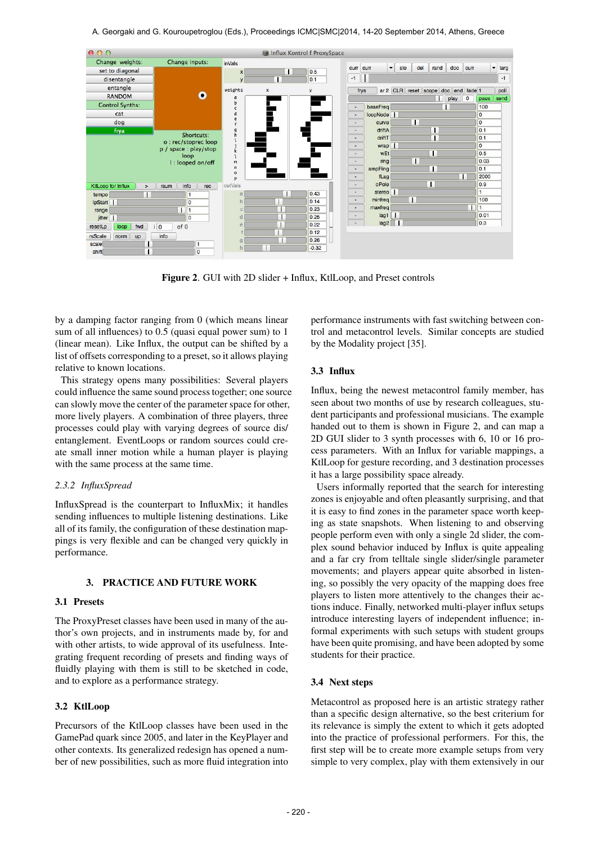

Figure 2. GUI with 2D slider + Influx, KtlLoop, and Preset controls

by a damping factor ranging from 0 (which means linear sum of all influences) to 0.5 (quasi equal power sum) to 1 (linear mean). Like Influx, the output can be shifted by a list of offsets corresponding to a preset, so it allows playing relative to known locations.

This strategy opens many possibilities: Several players could influence the same sound process together; one source can slowly move the center of the parameter space for other, more lively players. A combination of three players, three processes could play with varying degrees of source dis/ entanglement. EventLoops or random sources could create small inner motion while a human player is playing with the same process at the same time.

#### *2.3.2 InfluxSpread*

InfluxSpread is the counterpart to InfluxMix; it handles sending influences to multiple listening destinations. Like all of its family, the configuration of these destination mappings is very flexible and can be changed very quickly in performance.

#### 3. PRACTICE AND FUTURE WORK

### 3.1 Presets

The ProxyPreset classes have been used in many of the author's own projects, and in instruments made by, for and with other artists, to wide approval of its usefulness. Integrating frequent recording of presets and finding ways of fluidly playing with them is still to be sketched in code, and to explore as a performance strategy.

## 3.2 KtlLoop

Precursors of the KtlLoop classes have been used in the GamePad quark since 2005, and later in the KeyPlayer and other contexts. Its generalized redesign has opened a number of new possibilities, such as more fluid integration into performance instruments with fast switching between control and metacontrol levels. Similar concepts are studied by the Modality project [35].

### 3.3 Influx

Influx, being the newest metacontrol family member, has seen about two months of use by research colleagues, student participants and professional musicians. The example handed out to them is shown in Figure 2, and can map a 2D GUI slider to 3 synth processes with 6, 10 or 16 process parameters. With an Influx for variable mappings, a KtlLoop for gesture recording, and 3 destination processes it has a large possibility space already.

Users informally reported that the search for interesting zones is enjoyable and often pleasantly surprising, and that it is easy to find zones in the parameter space worth keeping as state snapshots. When listening to and observing people perform even with only a single 2d slider, the complex sound behavior induced by Influx is quite appealing and a far cry from telltale single slider/single parameter movements; and players appear quite absorbed in listening, so possibly the very opacity of the mapping does free players to listen more attentively to the changes their actions induce. Finally, networked multi-player influx setups introduce interesting layers of independent influence; informal experiments with such setups with student groups have been quite promising, and have been adopted by some students for their practice.

### 3.4 Next steps

Metacontrol as proposed here is an artistic strategy rather than a specific design alternative, so the best criterium for its relevance is simply the extent to which it gets adopted into the practice of professional performers. For this, the first step will be to create more example setups from very simple to very complex, play with them extensively in our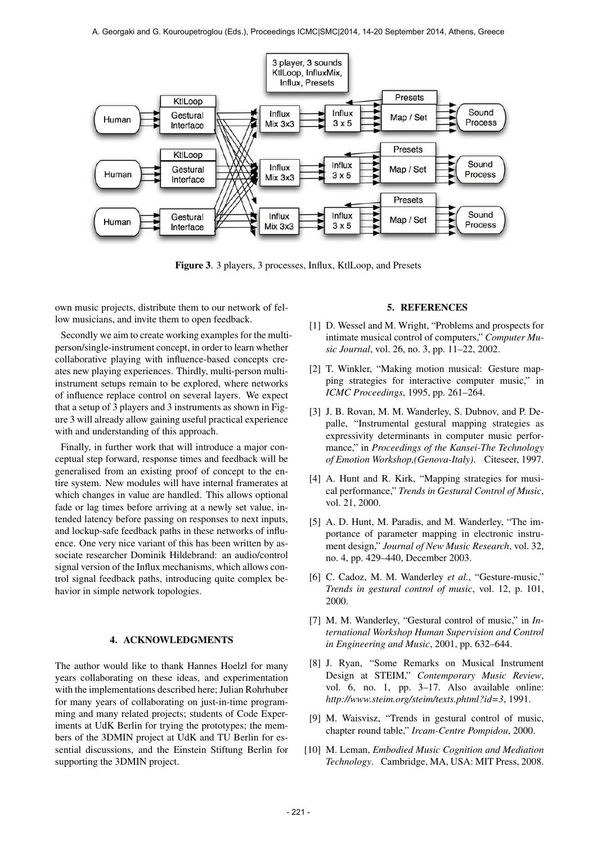

Figure 3. 3 players, 3 processes, Influx, KtlLoop, and Presets

own music projects, distribute them to our network of fellow musicians, and invite them to open feedback.

Secondly we aim to create working examples for the multiperson/single-instrument concept, in order to learn whether collaborative playing with influence-based concepts creates new playing experiences. Thirdly, multi-person multiinstrument setups remain to be explored, where networks of influence replace control on several layers. We expect that a setup of 3 players and 3 instruments as shown in Figure 3 will already allow gaining useful practical experience with and understanding of this approach.

Finally, in further work that will introduce a major conceptual step forward, response times and feedback will be generalised from an existing proof of concept to the entire system. New modules will have internal framerates at which changes in value are handled. This allows optional fade or lag times before arriving at a newly set value, intended latency before passing on responses to next inputs, and lockup-safe feedback paths in these networks of influence. One very nice variant of this has been written by associate researcher Dominik Hildebrand: an audio/control signal version of the Influx mechanisms, which allows control signal feedback paths, introducing quite complex behavior in simple network topologies.

### 4. ACKNOWLEDGMENTS

The author would like to thank Hannes Hoelzl for many years collaborating on these ideas, and experimentation with the implementations described here; Julian Rohrhuber for many years of collaborating on just-in-time programming and many related projects; students of Code Experiments at UdK Berlin for trying the prototypes; the members of the 3DMIN project at UdK and TU Berlin for essential discussions, and the Einstein Stiftung Berlin for supporting the 3DMIN project.

#### 5. REFERENCES

- [1] D. Wessel and M. Wright, "Problems and prospects for intimate musical control of computers," *Computer Music Journal*, vol. 26, no. 3, pp. 11–22, 2002.
- [2] T. Winkler, "Making motion musical: Gesture mapping strategies for interactive computer music," in *ICMC Proceedings*, 1995, pp. 261–264.
- [3] J. B. Rovan, M. M. Wanderley, S. Dubnov, and P. Depalle, "Instrumental gestural mapping strategies as expressivity determinants in computer music performance," in *Proceedings of the Kansei-The Technology of Emotion Workshop,(Genova-Italy)*. Citeseer, 1997.
- [4] A. Hunt and R. Kirk, "Mapping strategies for musical performance," *Trends in Gestural Control of Music*, vol. 21, 2000.
- [5] A. D. Hunt, M. Paradis, and M. Wanderley, "The importance of parameter mapping in electronic instrument design," *Journal of New Music Research*, vol. 32, no. 4, pp. 429–440, December 2003.
- [6] C. Cadoz, M. M. Wanderley *et al.*, "Gesture-music," *Trends in gestural control of music*, vol. 12, p. 101, 2000.
- [7] M. M. Wanderley, "Gestural control of music," in *International Workshop Human Supervision and Control in Engineering and Music*, 2001, pp. 632–644.
- [8] J. Ryan, "Some Remarks on Musical Instrument Design at STEIM," *Contemporary Music Review*, vol. 6, no. 1, pp. 3–17. Also available online: *http://www.steim.org/steim/texts.phtml?id=3*, 1991.
- [9] M. Waisvisz, "Trends in gestural control of music, chapter round table," *Ircam-Centre Pompidou*, 2000.
- [10] M. Leman, *Embodied Music Cognition and Mediation Technology*. Cambridge, MA, USA: MIT Press, 2008.